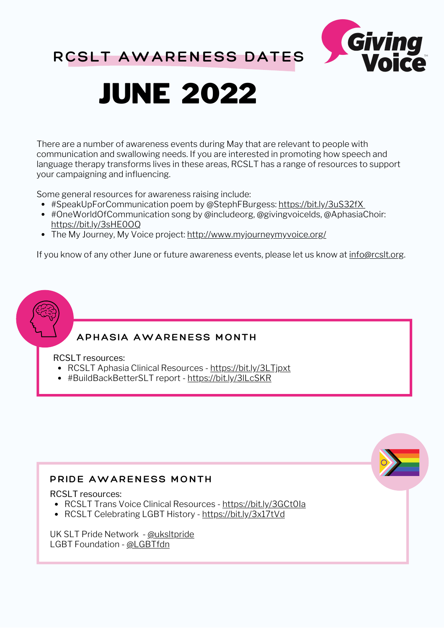## **RCSLT AWARENESS DATES**



# JUNE 2022

There are a number of awareness events during May that are relevant to people with communication and swallowing needs. If you are interested in promoting how speech and language therapy transforms lives in these areas, RCSLT has a range of resources to support your campaigning and influencing.

Some general resources for awareness raising include:

- #SpeakUpForCommunication poem by @StephFBurgess: <https://bit.ly/3uS32fX>
- #OneWorldOfCommunication song by [@includeorg,](https://twitter.com/includeorg) [@givingvoicelds,](https://twitter.com/givingvoicelds) [@AphasiaChoir:](https://twitter.com/AphasiaChoir) <https://bit.ly/3sHE0OQ>
- The My Journey, My Voice project: <http://www.myjourneymyvoice.org/>

If you know of any other June or future awareness events, please let us know at *[info@rcslt.org](mailto:info@rcslt.org)*.

## **APHASIA AWARENESS MONTH**

#### RCSLT resources:

- RCSLT Aphasia Clinical Resources <https://bit.ly/3LTjpxt>
- #BuildBackBetterSLT report <https://bit.ly/3lLcSKR>

#### **PRIDE AWARENESS MONTH**

RCSLT resources:

- RCSLT Trans Voice Clinical Resources <https://bit.ly/3GCt0Ia>
- RCSLT Celebrating LGBT History <https://bit.ly/3x17tVd>

UK SLT Pride Network - [@uksltpride](https://twitter.com/uksltpride) LGBT Foundation - [@LGBTfdn](https://twitter.com/LGBTfdn)